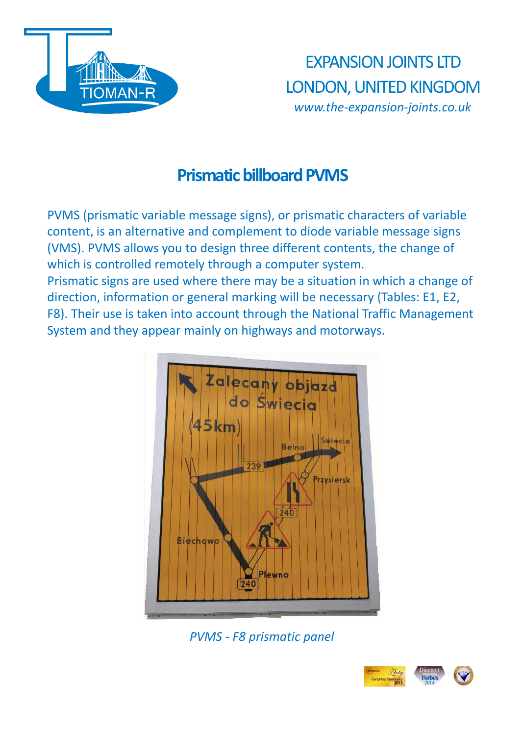

EXPANSION JOINTS LTD LONDON, UNITED KINGDOM *www.the-expansion-joints.co.uk*

## **Prismatic billboard PVMS**

PVMS (prismatic variable message signs), or prismatic characters of variable content, is an alternative and complement to diode variable message signs (VMS). PVMS allows you to design three different contents, the change of which is controlled remotely through a computer system. Prismatic signs are used where there may be a situation in which a change of direction, information or general marking will be necessary (Tables: E1, E2, F8). Their use is taken into account through the National Traffic Management System and they appear mainly on highways and motorways.



*PVMS - F8 prismatic panel*

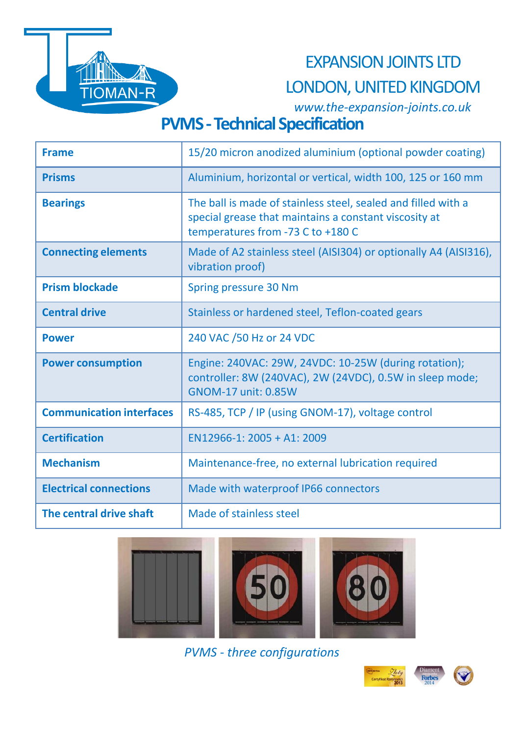

## EXPANSION JOINTS LTD

## LONDON, UNITED KINGDOM

*www.the-expansion-joints.co.uk*

# **PVMS - Technical Specification**

| <b>Frame</b>                    | 15/20 micron anodized aluminium (optional powder coating)                                                                                                   |
|---------------------------------|-------------------------------------------------------------------------------------------------------------------------------------------------------------|
| <b>Prisms</b>                   | Aluminium, horizontal or vertical, width 100, 125 or 160 mm                                                                                                 |
| <b>Bearings</b>                 | The ball is made of stainless steel, sealed and filled with a<br>special grease that maintains a constant viscosity at<br>temperatures from -73 C to +180 C |
| <b>Connecting elements</b>      | Made of A2 stainless steel (AISI304) or optionally A4 (AISI316),<br>vibration proof)                                                                        |
| <b>Prism blockade</b>           | Spring pressure 30 Nm                                                                                                                                       |
| <b>Central drive</b>            | Stainless or hardened steel, Teflon-coated gears                                                                                                            |
| <b>Power</b>                    | 240 VAC /50 Hz or 24 VDC                                                                                                                                    |
| <b>Power consumption</b>        | Engine: 240VAC: 29W, 24VDC: 10-25W (during rotation);<br>controller: 8W (240VAC), 2W (24VDC), 0.5W in sleep mode;<br><b>GNOM-17 unit: 0.85W</b>             |
| <b>Communication interfaces</b> | RS-485, TCP / IP (using GNOM-17), voltage control                                                                                                           |
| <b>Certification</b>            | $EN12966-1: 2005 + A1: 2009$                                                                                                                                |
| <b>Mechanism</b>                | Maintenance-free, no external lubrication required                                                                                                          |
| <b>Electrical connections</b>   | Made with waterproof IP66 connectors                                                                                                                        |
| The central drive shaft         | Made of stainless steel                                                                                                                                     |



*PVMS - three configurations*

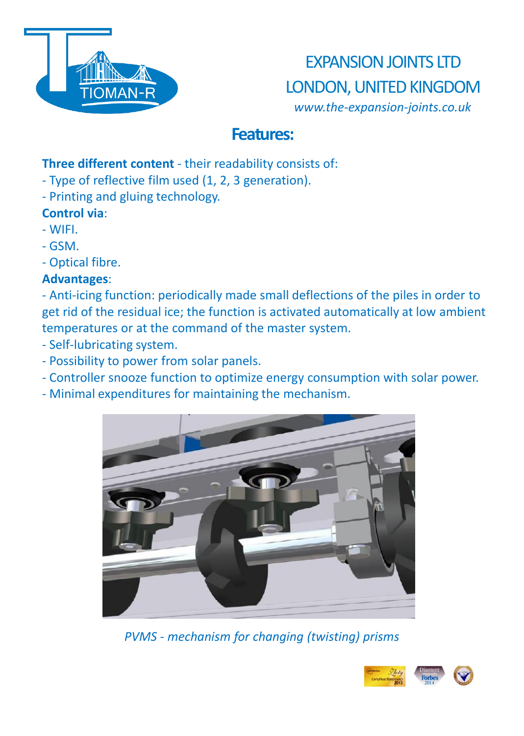

EXPANSION JOINTS LTD LONDON, UNITED KINGDOM *www.the-expansion-joints.co.uk*

### **Features:**

#### **Three different content** - their readability consists of:

- Type of reflective film used (1, 2, 3 generation).
- Printing and gluing technology.

### **Control via**:

- WIFI.
- GSM.
- Optical fibre.

### **Advantages**:

- Anti-icing function: periodically made small deflections of the piles in order to get rid of the residual ice; the function is activated automatically at low ambient temperatures or at the command of the master system.

- Self-lubricating system.
- Possibility to power from solar panels.
- Controller snooze function to optimize energy consumption with solar power.
- Minimal expenditures for maintaining the mechanism.



*PVMS - mechanism for changing (twisting) prisms*